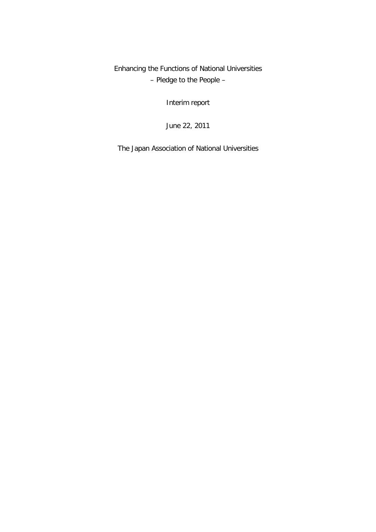Enhancing the Functions of National Universities – Pledge to the People –

Interim report

June 22, 2011

The Japan Association of National Universities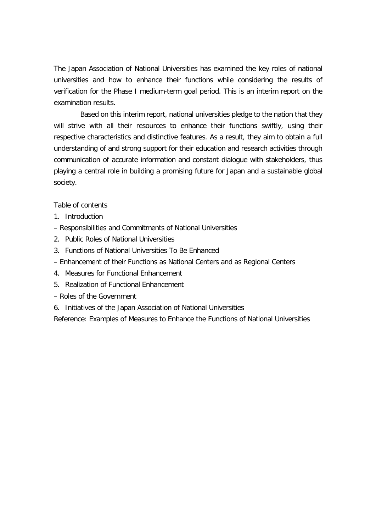The Japan Association of National Universities has examined the key roles of national universities and how to enhance their functions while considering the results of verification for the Phase I medium-term goal period. This is an interim report on the examination results.

Based on this interim report, national universities pledge to the nation that they will strive with all their resources to enhance their functions swiftly, using their respective characteristics and distinctive features. As a result, they aim to obtain a full understanding of and strong support for their education and research activities through communication of accurate information and constant dialogue with stakeholders, thus playing a central role in building a promising future for Japan and a sustainable global society.

Table of contents

- 1. Introduction
- Responsibilities and Commitments of National Universities
- 2. Public Roles of National Universities
- 3. Functions of National Universities To Be Enhanced
- Enhancement of their Functions as National Centers and as Regional Centers
- 4. Measures for Functional Enhancement
- 5. Realization of Functional Enhancement
- Roles of the Government
- 6. Initiatives of the Japan Association of National Universities

Reference: Examples of Measures to Enhance the Functions of National Universities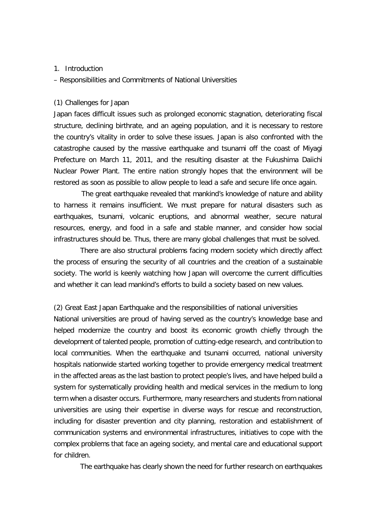### 1. Introduction

– Responsibilities and Commitments of National Universities

### (1) Challenges for Japan

Japan faces difficult issues such as prolonged economic stagnation, deteriorating fiscal structure, declining birthrate, and an ageing population, and it is necessary to restore the country's vitality in order to solve these issues. Japan is also confronted with the catastrophe caused by the massive earthquake and tsunami off the coast of Miyagi Prefecture on March 11, 2011, and the resulting disaster at the Fukushima Daiichi Nuclear Power Plant. The entire nation strongly hopes that the environment will be restored as soon as possible to allow people to lead a safe and secure life once again.

The great earthquake revealed that mankind's knowledge of nature and ability to harness it remains insufficient. We must prepare for natural disasters such as earthquakes, tsunami, volcanic eruptions, and abnormal weather, secure natural resources, energy, and food in a safe and stable manner, and consider how social infrastructures should be. Thus, there are many global challenges that must be solved.

There are also structural problems facing modern society which directly affect the process of ensuring the security of all countries and the creation of a sustainable society. The world is keenly watching how Japan will overcome the current difficulties and whether it can lead mankind's efforts to build a society based on new values.

(2) Great East Japan Earthquake and the responsibilities of national universities National universities are proud of having served as the country's knowledge base and helped modernize the country and boost its economic growth chiefly through the development of talented people, promotion of cutting-edge research, and contribution to local communities. When the earthquake and tsunami occurred, national university hospitals nationwide started working together to provide emergency medical treatment in the affected areas as the last bastion to protect people's lives, and have helped build a system for systematically providing health and medical services in the medium to long term when a disaster occurs. Furthermore, many researchers and students from national universities are using their expertise in diverse ways for rescue and reconstruction, including for disaster prevention and city planning, restoration and establishment of communication systems and environmental infrastructures, initiatives to cope with the complex problems that face an ageing society, and mental care and educational support for children.

The earthquake has clearly shown the need for further research on earthquakes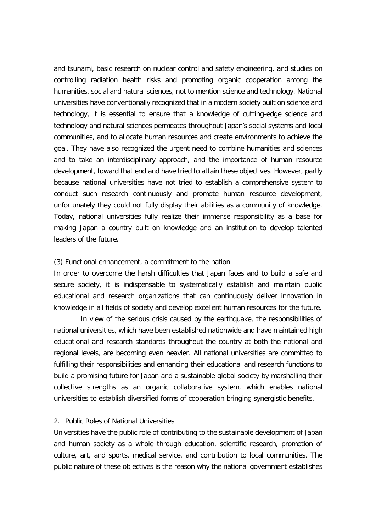and tsunami, basic research on nuclear control and safety engineering, and studies on controlling radiation health risks and promoting organic cooperation among the humanities, social and natural sciences, not to mention science and technology. National universities have conventionally recognized that in a modern society built on science and technology, it is essential to ensure that a knowledge of cutting-edge science and technology and natural sciences permeates throughout Japan's social systems and local communities, and to allocate human resources and create environments to achieve the goal. They have also recognized the urgent need to combine humanities and sciences and to take an interdisciplinary approach, and the importance of human resource development, toward that end and have tried to attain these objectives. However, partly because national universities have not tried to establish a comprehensive system to conduct such research continuously and promote human resource development, unfortunately they could not fully display their abilities as a community of knowledge. Today, national universities fully realize their immense responsibility as a base for making Japan a country built on knowledge and an institution to develop talented leaders of the future.

### (3) Functional enhancement, a commitment to the nation

In order to overcome the harsh difficulties that Japan faces and to build a safe and secure society, it is indispensable to systematically establish and maintain public educational and research organizations that can continuously deliver innovation in knowledge in all fields of society and develop excellent human resources for the future.

In view of the serious crisis caused by the earthquake, the responsibilities of national universities, which have been established nationwide and have maintained high educational and research standards throughout the country at both the national and regional levels, are becoming even heavier. All national universities are committed to fulfilling their responsibilities and enhancing their educational and research functions to build a promising future for Japan and a sustainable global society by marshalling their collective strengths as an organic collaborative system, which enables national universities to establish diversified forms of cooperation bringing synergistic benefits.

#### 2. Public Roles of National Universities

Universities have the public role of contributing to the sustainable development of Japan and human society as a whole through education, scientific research, promotion of culture, art, and sports, medical service, and contribution to local communities. The public nature of these objectives is the reason why the national government establishes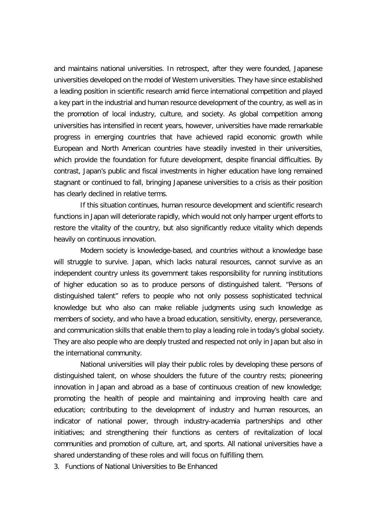and maintains national universities. In retrospect, after they were founded, Japanese universities developed on the model of Western universities. They have since established a leading position in scientific research amid fierce international competition and played a key part in the industrial and human resource development of the country, as well as in the promotion of local industry, culture, and society. As global competition among universities has intensified in recent years, however, universities have made remarkable progress in emerging countries that have achieved rapid economic growth while European and North American countries have steadily invested in their universities, which provide the foundation for future development, despite financial difficulties. By contrast, Japan's public and fiscal investments in higher education have long remained stagnant or continued to fall, bringing Japanese universities to a crisis as their position has clearly declined in relative terms.

If this situation continues, human resource development and scientific research functions in Japan will deteriorate rapidly, which would not only hamper urgent efforts to restore the vitality of the country, but also significantly reduce vitality which depends heavily on continuous innovation.

Modern society is knowledge-based, and countries without a knowledge base will struggle to survive. Japan, which lacks natural resources, cannot survive as an independent country unless its government takes responsibility for running institutions of higher education so as to produce persons of distinguished talent. "Persons of distinguished talent" refers to people who not only possess sophisticated technical knowledge but who also can make reliable judgments using such knowledge as members of society, and who have a broad education, sensitivity, energy, perseverance, and communication skills that enable them to play a leading role in today's global society. They are also people who are deeply trusted and respected not only in Japan but also in the international community.

National universities will play their public roles by developing these persons of distinguished talent, on whose shoulders the future of the country rests; pioneering innovation in Japan and abroad as a base of continuous creation of new knowledge; promoting the health of people and maintaining and improving health care and education; contributing to the development of industry and human resources, an indicator of national power, through industry-academia partnerships and other initiatives; and strengthening their functions as centers of revitalization of local communities and promotion of culture, art, and sports. All national universities have a shared understanding of these roles and will focus on fulfilling them.

3. Functions of National Universities to Be Enhanced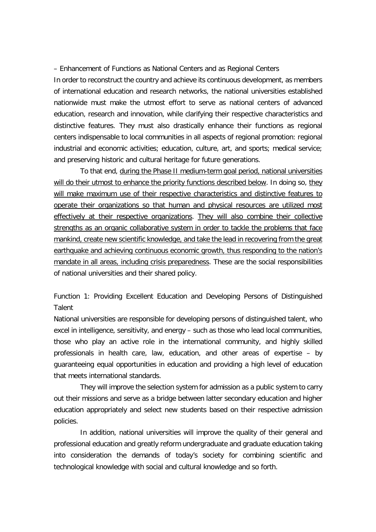– Enhancement of Functions as National Centers and as Regional Centers

In order to reconstruct the country and achieve its continuous development, as members of international education and research networks, the national universities established nationwide must make the utmost effort to serve as national centers of advanced education, research and innovation, while clarifying their respective characteristics and distinctive features. They must also drastically enhance their functions as regional centers indispensable to local communities in all aspects of regional promotion: regional industrial and economic activities; education, culture, art, and sports; medical service; and preserving historic and cultural heritage for future generations.

To that end, during the Phase II medium-term goal period, national universities will do their utmost to enhance the priority functions described below. In doing so, they will make maximum use of their respective characteristics and distinctive features to operate their organizations so that human and physical resources are utilized most effectively at their respective organizations. They will also combine their collective strengths as an organic collaborative system in order to tackle the problems that face mankind, create new scientific knowledge, and take the lead in recovering from the great earthquake and achieving continuous economic growth, thus responding to the nation's mandate in all areas, including crisis preparedness. These are the social responsibilities of national universities and their shared policy.

Function 1: Providing Excellent Education and Developing Persons of Distinguished Talent

National universities are responsible for developing persons of distinguished talent, who excel in intelligence, sensitivity, and energy – such as those who lead local communities, those who play an active role in the international community, and highly skilled professionals in health care, law, education, and other areas of expertise – by guaranteeing equal opportunities in education and providing a high level of education that meets international standards.

They will improve the selection system for admission as a public system to carry out their missions and serve as a bridge between latter secondary education and higher education appropriately and select new students based on their respective admission policies.

In addition, national universities will improve the quality of their general and professional education and greatly reform undergraduate and graduate education taking into consideration the demands of today's society for combining scientific and technological knowledge with social and cultural knowledge and so forth.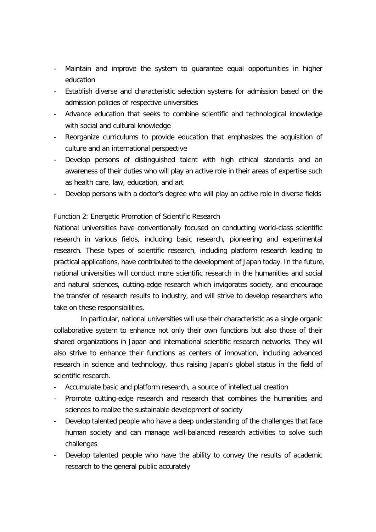- Maintain and improve the system to quarantee equal opportunities in higher education
- Establish diverse and characteristic selection systems for admission based on the admission policies of respective universities
- Advance education that seeks to combine scientific and technological knowledge with social and cultural knowledge
- Reorganize curriculums to provide education that emphasizes the acquisition of culture and an international perspective
- Develop persons of distinguished talent with high ethical standards and an awareness of their duties who will play an active role in their areas of expertise such as health care, law, education, and art
- Develop persons with a doctor's degree who will play an active role in diverse fields

## Function 2: Energetic Promotion of Scientific Research

National universities have conventionally focused on conducting world-class scientific research in various fields, including basic research, pioneering and experimental research. These types of scientific research, including platform research leading to practical applications, have contributed to the development of Japan today. In the future, national universities will conduct more scientific research in the humanities and social and natural sciences, cutting-edge research which invigorates society, and encourage the transfer of research results to industry, and will strive to develop researchers who take on these responsibilities.

In particular, national universities will use their characteristic as a single organic collaborative system to enhance not only their own functions but also those of their shared organizations in Japan and international scientific research networks. They will also strive to enhance their functions as centers of innovation, including advanced research in science and technology, thus raising Japan's global status in the field of scientific research.

- Accumulate basic and platform research, a source of intellectual creation
- Promote cutting-edge research and research that combines the humanities and sciences to realize the sustainable development of society
- Develop talented people who have a deep understanding of the challenges that face human society and can manage well-balanced research activities to solve such challenges
- Develop talented people who have the ability to convey the results of academic research to the general public accurately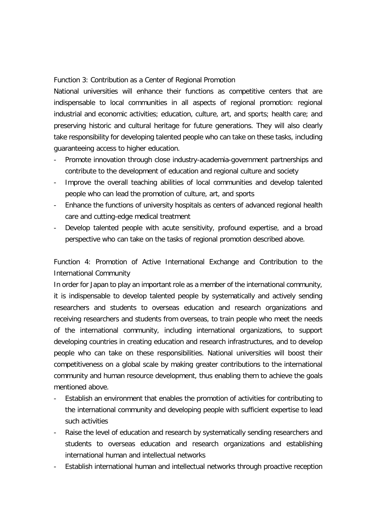Function 3: Contribution as a Center of Regional Promotion

National universities will enhance their functions as competitive centers that are indispensable to local communities in all aspects of regional promotion: regional industrial and economic activities; education, culture, art, and sports; health care; and preserving historic and cultural heritage for future generations. They will also clearly take responsibility for developing talented people who can take on these tasks, including guaranteeing access to higher education.

- Promote innovation through close industry-academia-government partnerships and contribute to the development of education and regional culture and society
- Improve the overall teaching abilities of local communities and develop talented people who can lead the promotion of culture, art, and sports
- Enhance the functions of university hospitals as centers of advanced regional health care and cutting-edge medical treatment
- Develop talented people with acute sensitivity, profound expertise, and a broad perspective who can take on the tasks of regional promotion described above.

Function 4: Promotion of Active International Exchange and Contribution to the International Community

In order for Japan to play an important role as a member of the international community, it is indispensable to develop talented people by systematically and actively sending researchers and students to overseas education and research organizations and receiving researchers and students from overseas, to train people who meet the needs of the international community, including international organizations, to support developing countries in creating education and research infrastructures, and to develop people who can take on these responsibilities. National universities will boost their competitiveness on a global scale by making greater contributions to the international community and human resource development, thus enabling them to achieve the goals mentioned above.

- Establish an environment that enables the promotion of activities for contributing to the international community and developing people with sufficient expertise to lead such activities
- Raise the level of education and research by systematically sending researchers and students to overseas education and research organizations and establishing international human and intellectual networks
- Establish international human and intellectual networks through proactive reception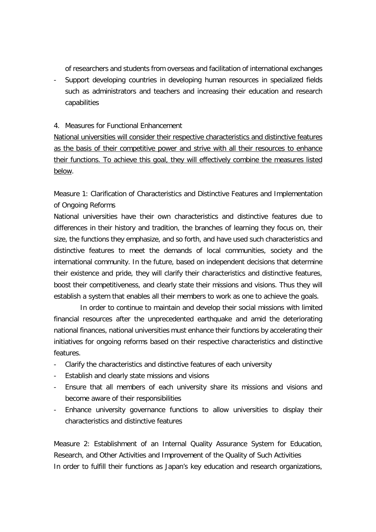of researchers and students from overseas and facilitation of international exchanges

- Support developing countries in developing human resources in specialized fields such as administrators and teachers and increasing their education and research capabilities

## 4. Measures for Functional Enhancement

National universities will consider their respective characteristics and distinctive features as the basis of their competitive power and strive with all their resources to enhance their functions. To achieve this goal, they will effectively combine the measures listed below.

Measure 1: Clarification of Characteristics and Distinctive Features and Implementation of Ongoing Reforms

National universities have their own characteristics and distinctive features due to differences in their history and tradition, the branches of learning they focus on, their size, the functions they emphasize, and so forth, and have used such characteristics and distinctive features to meet the demands of local communities, society and the international community. In the future, based on independent decisions that determine their existence and pride, they will clarify their characteristics and distinctive features, boost their competitiveness, and clearly state their missions and visions. Thus they will establish a system that enables all their members to work as one to achieve the goals.

In order to continue to maintain and develop their social missions with limited financial resources after the unprecedented earthquake and amid the deteriorating national finances, national universities must enhance their functions by accelerating their initiatives for ongoing reforms based on their respective characteristics and distinctive features.

- Clarify the characteristics and distinctive features of each university
- Establish and clearly state missions and visions
- Ensure that all members of each university share its missions and visions and become aware of their responsibilities
- Enhance university governance functions to allow universities to display their characteristics and distinctive features

Measure 2: Establishment of an Internal Quality Assurance System for Education, Research, and Other Activities and Improvement of the Quality of Such Activities In order to fulfill their functions as Japan's key education and research organizations,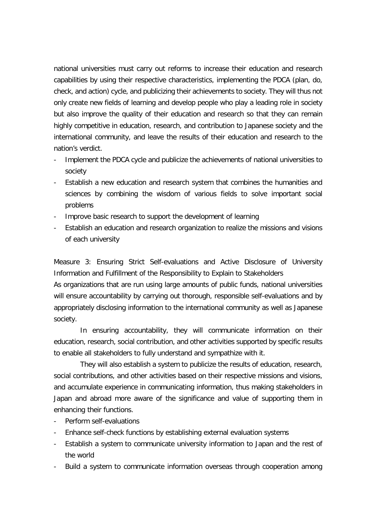national universities must carry out reforms to increase their education and research capabilities by using their respective characteristics, implementing the PDCA (plan, do, check, and action) cycle, and publicizing their achievements to society. They will thus not only create new fields of learning and develop people who play a leading role in society but also improve the quality of their education and research so that they can remain highly competitive in education, research, and contribution to Japanese society and the international community, and leave the results of their education and research to the nation's verdict.

- Implement the PDCA cycle and publicize the achievements of national universities to society
- Establish a new education and research system that combines the humanities and sciences by combining the wisdom of various fields to solve important social problems
- Improve basic research to support the development of learning
- Establish an education and research organization to realize the missions and visions of each university

Measure 3: Ensuring Strict Self-evaluations and Active Disclosure of University Information and Fulfillment of the Responsibility to Explain to Stakeholders

As organizations that are run using large amounts of public funds, national universities will ensure accountability by carrying out thorough, responsible self-evaluations and by appropriately disclosing information to the international community as well as Japanese society.

In ensuring accountability, they will communicate information on their education, research, social contribution, and other activities supported by specific results to enable all stakeholders to fully understand and sympathize with it.

They will also establish a system to publicize the results of education, research, social contributions, and other activities based on their respective missions and visions, and accumulate experience in communicating information, thus making stakeholders in Japan and abroad more aware of the significance and value of supporting them in enhancing their functions.

- Perform self-evaluations
- Enhance self-check functions by establishing external evaluation systems
- Establish a system to communicate university information to Japan and the rest of the world
- Build a system to communicate information overseas through cooperation among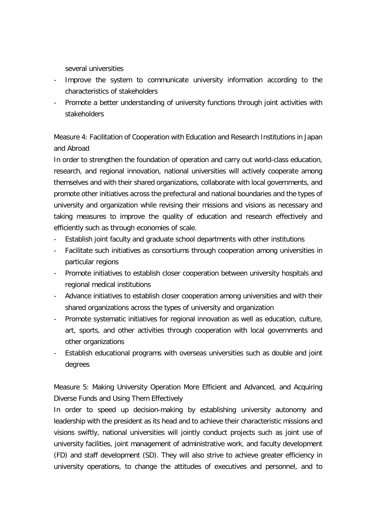several universities

- Improve the system to communicate university information according to the characteristics of stakeholders
- Promote a better understanding of university functions through joint activities with stakeholders

Measure 4: Facilitation of Cooperation with Education and Research Institutions in Japan and Abroad

In order to strengthen the foundation of operation and carry out world-class education, research, and regional innovation, national universities will actively cooperate among themselves and with their shared organizations, collaborate with local governments, and promote other initiatives across the prefectural and national boundaries and the types of university and organization while revising their missions and visions as necessary and taking measures to improve the quality of education and research effectively and efficiently such as through economies of scale.

- Establish joint faculty and graduate school departments with other institutions
- Facilitate such initiatives as consortiums through cooperation among universities in particular regions
- Promote initiatives to establish closer cooperation between university hospitals and regional medical institutions
- Advance initiatives to establish closer cooperation among universities and with their shared organizations across the types of university and organization
- Promote systematic initiatives for regional innovation as well as education, culture, art, sports, and other activities through cooperation with local governments and other organizations
- Establish educational programs with overseas universities such as double and joint degrees

Measure 5: Making University Operation More Efficient and Advanced, and Acquiring Diverse Funds and Using Them Effectively

In order to speed up decision-making by establishing university autonomy and leadership with the president as its head and to achieve their characteristic missions and visions swiftly, national universities will jointly conduct projects such as joint use of university facilities, joint management of administrative work, and faculty development (FD) and staff development (SD). They will also strive to achieve greater efficiency in university operations, to change the attitudes of executives and personnel, and to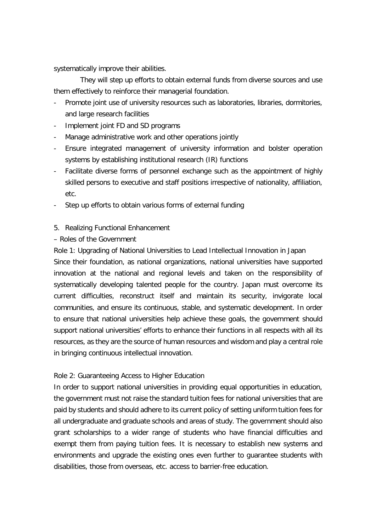systematically improve their abilities.

They will step up efforts to obtain external funds from diverse sources and use them effectively to reinforce their managerial foundation.

- Promote joint use of university resources such as laboratories, libraries, dormitories, and large research facilities
- Implement joint FD and SD programs
- Manage administrative work and other operations jointly
- Ensure integrated management of university information and bolster operation systems by establishing institutional research (IR) functions
- Facilitate diverse forms of personnel exchange such as the appointment of highly skilled persons to executive and staff positions irrespective of nationality, affiliation, etc.
- Step up efforts to obtain various forms of external funding
- 5. Realizing Functional Enhancement

# – Roles of the Government

Role 1: Upgrading of National Universities to Lead Intellectual Innovation in Japan

Since their foundation, as national organizations, national universities have supported innovation at the national and regional levels and taken on the responsibility of systematically developing talented people for the country. Japan must overcome its current difficulties, reconstruct itself and maintain its security, invigorate local communities, and ensure its continuous, stable, and systematic development. In order to ensure that national universities help achieve these goals, the government should support national universities' efforts to enhance their functions in all respects with all its resources, as they are the source of human resources and wisdom and play a central role in bringing continuous intellectual innovation.

# Role 2: Guaranteeing Access to Higher Education

In order to support national universities in providing equal opportunities in education, the government must not raise the standard tuition fees for national universities that are paid by students and should adhere to its current policy of setting uniform tuition fees for all undergraduate and graduate schools and areas of study. The government should also grant scholarships to a wider range of students who have financial difficulties and exempt them from paying tuition fees. It is necessary to establish new systems and environments and upgrade the existing ones even further to guarantee students with disabilities, those from overseas, etc. access to barrier-free education.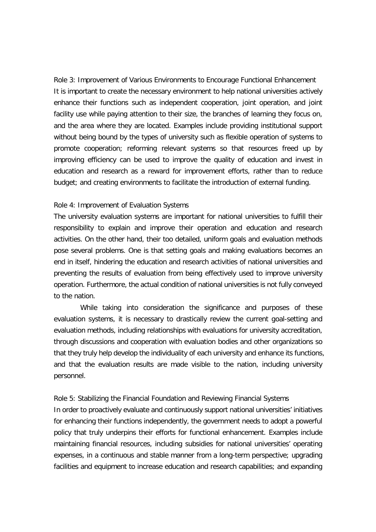Role 3: Improvement of Various Environments to Encourage Functional Enhancement It is important to create the necessary environment to help national universities actively enhance their functions such as independent cooperation, joint operation, and joint facility use while paying attention to their size, the branches of learning they focus on, and the area where they are located. Examples include providing institutional support without being bound by the types of university such as flexible operation of systems to promote cooperation; reforming relevant systems so that resources freed up by improving efficiency can be used to improve the quality of education and invest in education and research as a reward for improvement efforts, rather than to reduce budget; and creating environments to facilitate the introduction of external funding.

### Role 4: Improvement of Evaluation Systems

The university evaluation systems are important for national universities to fulfill their responsibility to explain and improve their operation and education and research activities. On the other hand, their too detailed, uniform goals and evaluation methods pose several problems. One is that setting goals and making evaluations becomes an end in itself, hindering the education and research activities of national universities and preventing the results of evaluation from being effectively used to improve university operation. Furthermore, the actual condition of national universities is not fully conveyed to the nation.

While taking into consideration the significance and purposes of these evaluation systems, it is necessary to drastically review the current goal-setting and evaluation methods, including relationships with evaluations for university accreditation, through discussions and cooperation with evaluation bodies and other organizations so that they truly help develop the individuality of each university and enhance its functions, and that the evaluation results are made visible to the nation, including university personnel.

Role 5: Stabilizing the Financial Foundation and Reviewing Financial Systems

In order to proactively evaluate and continuously support national universities' initiatives for enhancing their functions independently, the government needs to adopt a powerful policy that truly underpins their efforts for functional enhancement. Examples include maintaining financial resources, including subsidies for national universities' operating expenses, in a continuous and stable manner from a long-term perspective; upgrading facilities and equipment to increase education and research capabilities; and expanding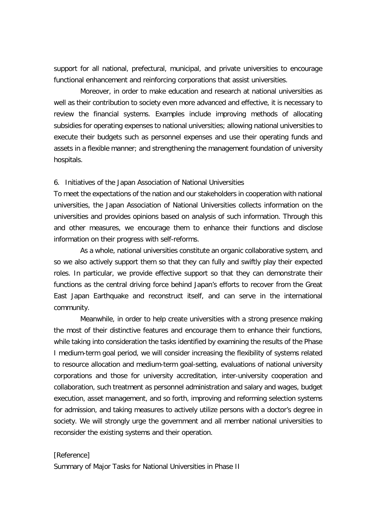support for all national, prefectural, municipal, and private universities to encourage functional enhancement and reinforcing corporations that assist universities.

Moreover, in order to make education and research at national universities as well as their contribution to society even more advanced and effective, it is necessary to review the financial systems. Examples include improving methods of allocating subsidies for operating expenses to national universities; allowing national universities to execute their budgets such as personnel expenses and use their operating funds and assets in a flexible manner; and strengthening the management foundation of university hospitals.

#### 6. Initiatives of the Japan Association of National Universities

To meet the expectations of the nation and our stakeholders in cooperation with national universities, the Japan Association of National Universities collects information on the universities and provides opinions based on analysis of such information. Through this and other measures, we encourage them to enhance their functions and disclose information on their progress with self-reforms.

As a whole, national universities constitute an organic collaborative system, and so we also actively support them so that they can fully and swiftly play their expected roles. In particular, we provide effective support so that they can demonstrate their functions as the central driving force behind Japan's efforts to recover from the Great East Japan Earthquake and reconstruct itself, and can serve in the international community.

Meanwhile, in order to help create universities with a strong presence making the most of their distinctive features and encourage them to enhance their functions, while taking into consideration the tasks identified by examining the results of the Phase I medium-term goal period, we will consider increasing the flexibility of systems related to resource allocation and medium-term goal-setting, evaluations of national university corporations and those for university accreditation, inter-university cooperation and collaboration, such treatment as personnel administration and salary and wages, budget execution, asset management, and so forth, improving and reforming selection systems for admission, and taking measures to actively utilize persons with a doctor's degree in society. We will strongly urge the government and all member national universities to reconsider the existing systems and their operation.

#### [Reference]

Summary of Major Tasks for National Universities in Phase II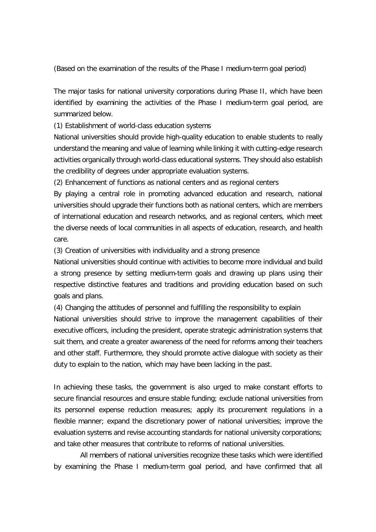(Based on the examination of the results of the Phase I medium-term goal period)

The major tasks for national university corporations during Phase II, which have been identified by examining the activities of the Phase I medium-term goal period, are summarized below.

(1) Establishment of world-class education systems

National universities should provide high-quality education to enable students to really understand the meaning and value of learning while linking it with cutting-edge research activities organically through world-class educational systems. They should also establish the credibility of degrees under appropriate evaluation systems.

(2) Enhancement of functions as national centers and as regional centers

By playing a central role in promoting advanced education and research, national universities should upgrade their functions both as national centers, which are members of international education and research networks, and as regional centers, which meet the diverse needs of local communities in all aspects of education, research, and health care.

(3) Creation of universities with individuality and a strong presence

National universities should continue with activities to become more individual and build a strong presence by setting medium-term goals and drawing up plans using their respective distinctive features and traditions and providing education based on such goals and plans.

(4) Changing the attitudes of personnel and fulfilling the responsibility to explain

National universities should strive to improve the management capabilities of their executive officers, including the president, operate strategic administration systems that suit them, and create a greater awareness of the need for reforms among their teachers and other staff. Furthermore, they should promote active dialogue with society as their duty to explain to the nation, which may have been lacking in the past.

In achieving these tasks, the government is also urged to make constant efforts to secure financial resources and ensure stable funding; exclude national universities from its personnel expense reduction measures; apply its procurement regulations in a flexible manner; expand the discretionary power of national universities; improve the evaluation systems and revise accounting standards for national university corporations; and take other measures that contribute to reforms of national universities.

All members of national universities recognize these tasks which were identified by examining the Phase I medium-term goal period, and have confirmed that all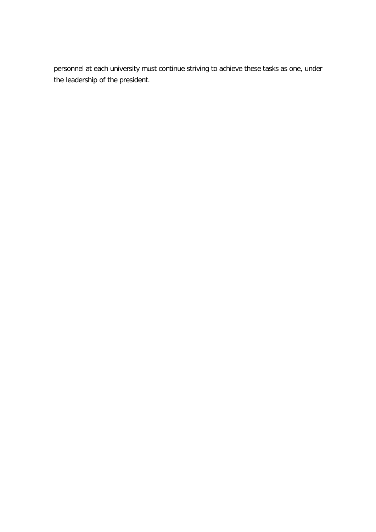personnel at each university must continue striving to achieve these tasks as one, under the leadership of the president.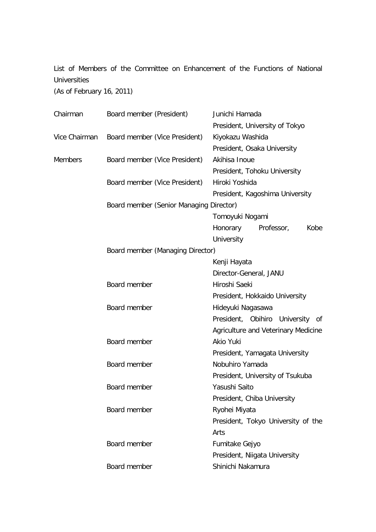List of Members of the Committee on Enhancement of the Functions of National Universities

(As of February 16, 2011)

| Chairman       | Board member (President)                |                               | Junichi Hamada                      |                  |      |  |
|----------------|-----------------------------------------|-------------------------------|-------------------------------------|------------------|------|--|
|                |                                         |                               | President, University of Tokyo      |                  |      |  |
| Vice Chairman  |                                         | Board member (Vice President) |                                     | Kiyokazu Washida |      |  |
|                |                                         |                               | President, Osaka University         |                  |      |  |
| <b>Members</b> |                                         | Board member (Vice President) | Akihisa Inoue                       |                  |      |  |
|                |                                         |                               | President, Tohoku University        |                  |      |  |
|                |                                         | Board member (Vice President) | Hiroki Yoshida                      |                  |      |  |
|                |                                         |                               | President, Kagoshima University     |                  |      |  |
|                | Board member (Senior Managing Director) |                               |                                     |                  |      |  |
|                |                                         |                               | Tomoyuki Nogami                     |                  |      |  |
|                |                                         |                               | Honorary                            | Professor,       | Kobe |  |
|                |                                         |                               | University                          |                  |      |  |
|                | Board member (Managing Director)        |                               |                                     |                  |      |  |
|                |                                         |                               | Kenji Hayata                        |                  |      |  |
|                |                                         |                               | Director-General, JANU              |                  |      |  |
|                | Board member                            |                               | Hiroshi Saeki                       |                  |      |  |
|                |                                         |                               | President, Hokkaido University      |                  |      |  |
|                | Board member                            |                               | Hideyuki Nagasawa                   |                  |      |  |
|                |                                         |                               | President, Obihiro                  | University       | 0f   |  |
|                |                                         |                               | Agriculture and Veterinary Medicine |                  |      |  |
|                | Board member                            |                               | Akio Yuki                           |                  |      |  |
|                |                                         |                               | President, Yamagata University      |                  |      |  |
|                | Board member                            |                               | Nobuhiro Yamada                     |                  |      |  |
|                |                                         |                               | President, University of Tsukuba    |                  |      |  |
|                | Board member                            |                               | Yasushi Saito                       |                  |      |  |
|                |                                         |                               | President, Chiba University         |                  |      |  |
|                | Board member                            |                               | Ryohei Miyata                       |                  |      |  |
|                |                                         |                               | President, Tokyo University of the  |                  |      |  |
|                |                                         |                               | Arts                                |                  |      |  |
|                | Board member                            |                               | Fumitake Gejyo                      |                  |      |  |
|                |                                         |                               | President, Niigata University       |                  |      |  |
|                | Board member                            |                               | Shinichi Nakamura                   |                  |      |  |
|                |                                         |                               |                                     |                  |      |  |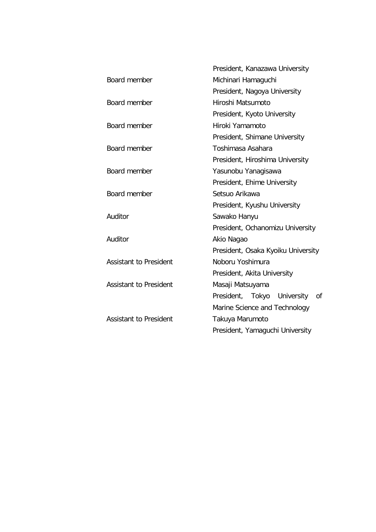|                               | President, Kanazawa University     |  |  |
|-------------------------------|------------------------------------|--|--|
| Board member                  | Michinari Hamaguchi                |  |  |
|                               | President, Nagoya University       |  |  |
| Board member                  | Hiroshi Matsumoto                  |  |  |
|                               | President, Kyoto University        |  |  |
| Board member                  | Hiroki Yamamoto                    |  |  |
|                               | President, Shimane University      |  |  |
| Board member                  | Toshimasa Asahara                  |  |  |
|                               | President, Hiroshima University    |  |  |
| Board member                  | Yasunobu Yanagisawa                |  |  |
|                               | President, Ehime University        |  |  |
| Board member                  | Setsuo Arikawa                     |  |  |
|                               | President, Kyushu University       |  |  |
| Auditor                       | Sawako Hanyu                       |  |  |
|                               | President, Ochanomizu University   |  |  |
| Auditor                       | Akio Nagao                         |  |  |
|                               | President, Osaka Kyoiku University |  |  |
| <b>Assistant to President</b> | Noboru Yoshimura                   |  |  |
|                               | President, Akita University        |  |  |
| <b>Assistant to President</b> | Masaji Matsuyama                   |  |  |
|                               | President, Tokyo University<br>0f  |  |  |
|                               | Marine Science and Technology      |  |  |
| <b>Assistant to President</b> | Takuya Marumoto                    |  |  |
|                               | President, Yamaguchi University    |  |  |